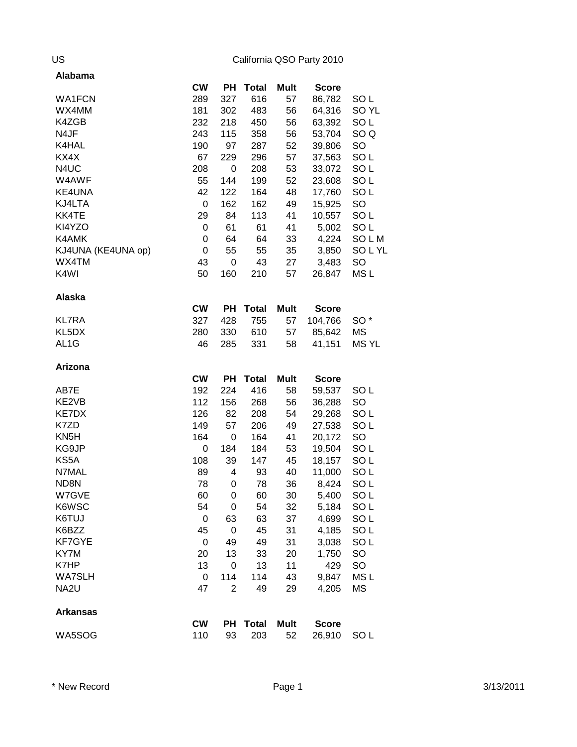| CW<br>PH<br><b>Total</b><br>Mult<br><b>Score</b><br>SO <sub>L</sub><br>WA1FCN<br>289<br>327<br>616<br>57<br>86,782<br>56<br>SO <sub>YL</sub><br>WX4MM<br>181<br>302<br>483<br>64,316<br>56<br>SO <sub>L</sub><br>K4ZGB<br>232<br>218<br>450<br>63,392<br>243<br>56<br>SO <sub>Q</sub><br>N4JF<br>115<br>358<br>53,704<br>52<br>SO<br>K4HAL<br>190<br>97<br>287<br>39,806<br>KX4X<br>67<br>57<br>SO <sub>L</sub><br>229<br>296<br>37,563<br>N4UC<br>208<br>53<br>SO <sub>L</sub><br>0<br>208<br>33,072<br>W4AWF<br>52<br>SO <sub>L</sub><br>55<br>144<br>199<br>23,608<br>42<br>164<br>48<br>KE4UNA<br>122<br>17,760<br>SO <sub>L</sub><br>KJ4LTA<br>SO<br>$\mathbf 0$<br>162<br>162<br>49<br>15,925<br>KK4TE<br>29<br>41<br>84<br>113<br>10,557<br>SO <sub>L</sub><br>KI4YZO<br>61<br>41<br>SO <sub>L</sub><br>0<br>61<br>5,002<br>K4AMK<br>64<br>64<br>33<br>4,224<br>SOLM<br>0<br>KJ4UNA (KE4UNA op)<br>0<br>55<br>55<br>35<br>3,850<br>SOLYL<br>WX4TM<br>43<br>0<br>43<br>27<br>3,483<br>SO<br>K4WI<br>50<br>MS <sub>L</sub><br>160<br>210<br>57<br>26,847<br>Alaska<br><b>CW</b><br>PH<br><b>Total</b><br>Mult<br><b>Score</b><br>327<br>755<br><b>KL7RA</b><br>428<br>57<br>104,766<br>SO <sup>*</sup><br>KL5DX<br>57<br>280<br>330<br>610<br>85,642<br>ΜS<br>AL <sub>1</sub> G<br><b>MSYL</b><br>46<br>285<br>331<br>58<br>41,151<br>Arizona<br>PH<br><b>CW</b><br><b>Total</b><br><b>Mult</b><br><b>Score</b><br>192<br>224<br>416<br>58<br>SO <sub>L</sub><br>AB7E<br>59,537<br>KE2VB<br>112<br>56<br>156<br>268<br>36,288<br><b>SO</b><br>126<br>KE7DX<br>82<br>208<br>54<br>SO <sub>L</sub><br>29,268<br>K7ZD<br>49<br>149<br>57<br>206<br>27,538<br>SO <sub>L</sub><br>KN <sub>5</sub> H<br>164<br>164<br>41<br>SO<br>0<br>20,172<br>SO <sub>L</sub><br>KG9JP<br>0<br>184<br>184<br>53<br>19,504<br>108<br>45<br>SO <sub>L</sub><br>KS5A<br>39<br>147<br>18,157<br>89<br>40<br>SO <sub>L</sub><br>N7MAL<br>4<br>93<br>11,000<br>78<br>36<br>SO <sub>L</sub><br>ND8N<br>0<br>78<br>8,424<br>60<br>60<br>SO <sub>L</sub><br>W7GVE<br>0<br>30<br>5,400<br>K6WSC<br>54<br>0<br>54<br>32<br>5,184<br>SO <sub>L</sub><br>K6TUJ<br>37<br>4,699<br>SO <sub>L</sub><br>$\mathbf 0$<br>63<br>63<br>K6BZZ<br>$\boldsymbol{0}$<br>31<br>SO <sub>L</sub><br>45<br>45<br>4,185<br>SO <sub>L</sub><br>KF7GYE<br>31<br>0<br>49<br>49<br>3,038<br>SO<br>KY7M<br>13<br>33<br>20<br>20<br>1,750<br>K7HP<br>SO<br>13<br>11<br>0<br>13<br>429<br><b>WA7SLH</b><br>114<br>114<br>43<br>9,847<br>MS <sub>L</sub><br>$\mathbf 0$<br>NA <sub>2U</sub><br>47<br>$\overline{2}$<br>29<br>MS<br>49<br>4,205<br><b>Arkansas</b><br><b>CW</b><br>PH<br><b>Total</b><br><b>Mult</b><br><b>Score</b> | Alabama |     |    |     |    |        |                 |
|---------------------------------------------------------------------------------------------------------------------------------------------------------------------------------------------------------------------------------------------------------------------------------------------------------------------------------------------------------------------------------------------------------------------------------------------------------------------------------------------------------------------------------------------------------------------------------------------------------------------------------------------------------------------------------------------------------------------------------------------------------------------------------------------------------------------------------------------------------------------------------------------------------------------------------------------------------------------------------------------------------------------------------------------------------------------------------------------------------------------------------------------------------------------------------------------------------------------------------------------------------------------------------------------------------------------------------------------------------------------------------------------------------------------------------------------------------------------------------------------------------------------------------------------------------------------------------------------------------------------------------------------------------------------------------------------------------------------------------------------------------------------------------------------------------------------------------------------------------------------------------------------------------------------------------------------------------------------------------------------------------------------------------------------------------------------------------------------------------------------------------------------------------------------------------------------------------------------------------------------------------------------------------------------------------------------------------------------------------------------------------------------------------------------------------------------------------------------------------------------------------------------------------------------------------------------------------------------------------------------------------------------------------------------------------|---------|-----|----|-----|----|--------|-----------------|
|                                                                                                                                                                                                                                                                                                                                                                                                                                                                                                                                                                                                                                                                                                                                                                                                                                                                                                                                                                                                                                                                                                                                                                                                                                                                                                                                                                                                                                                                                                                                                                                                                                                                                                                                                                                                                                                                                                                                                                                                                                                                                                                                                                                                                                                                                                                                                                                                                                                                                                                                                                                                                                                                                 |         |     |    |     |    |        |                 |
|                                                                                                                                                                                                                                                                                                                                                                                                                                                                                                                                                                                                                                                                                                                                                                                                                                                                                                                                                                                                                                                                                                                                                                                                                                                                                                                                                                                                                                                                                                                                                                                                                                                                                                                                                                                                                                                                                                                                                                                                                                                                                                                                                                                                                                                                                                                                                                                                                                                                                                                                                                                                                                                                                 |         |     |    |     |    |        |                 |
|                                                                                                                                                                                                                                                                                                                                                                                                                                                                                                                                                                                                                                                                                                                                                                                                                                                                                                                                                                                                                                                                                                                                                                                                                                                                                                                                                                                                                                                                                                                                                                                                                                                                                                                                                                                                                                                                                                                                                                                                                                                                                                                                                                                                                                                                                                                                                                                                                                                                                                                                                                                                                                                                                 |         |     |    |     |    |        |                 |
|                                                                                                                                                                                                                                                                                                                                                                                                                                                                                                                                                                                                                                                                                                                                                                                                                                                                                                                                                                                                                                                                                                                                                                                                                                                                                                                                                                                                                                                                                                                                                                                                                                                                                                                                                                                                                                                                                                                                                                                                                                                                                                                                                                                                                                                                                                                                                                                                                                                                                                                                                                                                                                                                                 |         |     |    |     |    |        |                 |
|                                                                                                                                                                                                                                                                                                                                                                                                                                                                                                                                                                                                                                                                                                                                                                                                                                                                                                                                                                                                                                                                                                                                                                                                                                                                                                                                                                                                                                                                                                                                                                                                                                                                                                                                                                                                                                                                                                                                                                                                                                                                                                                                                                                                                                                                                                                                                                                                                                                                                                                                                                                                                                                                                 |         |     |    |     |    |        |                 |
|                                                                                                                                                                                                                                                                                                                                                                                                                                                                                                                                                                                                                                                                                                                                                                                                                                                                                                                                                                                                                                                                                                                                                                                                                                                                                                                                                                                                                                                                                                                                                                                                                                                                                                                                                                                                                                                                                                                                                                                                                                                                                                                                                                                                                                                                                                                                                                                                                                                                                                                                                                                                                                                                                 |         |     |    |     |    |        |                 |
|                                                                                                                                                                                                                                                                                                                                                                                                                                                                                                                                                                                                                                                                                                                                                                                                                                                                                                                                                                                                                                                                                                                                                                                                                                                                                                                                                                                                                                                                                                                                                                                                                                                                                                                                                                                                                                                                                                                                                                                                                                                                                                                                                                                                                                                                                                                                                                                                                                                                                                                                                                                                                                                                                 |         |     |    |     |    |        |                 |
|                                                                                                                                                                                                                                                                                                                                                                                                                                                                                                                                                                                                                                                                                                                                                                                                                                                                                                                                                                                                                                                                                                                                                                                                                                                                                                                                                                                                                                                                                                                                                                                                                                                                                                                                                                                                                                                                                                                                                                                                                                                                                                                                                                                                                                                                                                                                                                                                                                                                                                                                                                                                                                                                                 |         |     |    |     |    |        |                 |
|                                                                                                                                                                                                                                                                                                                                                                                                                                                                                                                                                                                                                                                                                                                                                                                                                                                                                                                                                                                                                                                                                                                                                                                                                                                                                                                                                                                                                                                                                                                                                                                                                                                                                                                                                                                                                                                                                                                                                                                                                                                                                                                                                                                                                                                                                                                                                                                                                                                                                                                                                                                                                                                                                 |         |     |    |     |    |        |                 |
|                                                                                                                                                                                                                                                                                                                                                                                                                                                                                                                                                                                                                                                                                                                                                                                                                                                                                                                                                                                                                                                                                                                                                                                                                                                                                                                                                                                                                                                                                                                                                                                                                                                                                                                                                                                                                                                                                                                                                                                                                                                                                                                                                                                                                                                                                                                                                                                                                                                                                                                                                                                                                                                                                 |         |     |    |     |    |        |                 |
|                                                                                                                                                                                                                                                                                                                                                                                                                                                                                                                                                                                                                                                                                                                                                                                                                                                                                                                                                                                                                                                                                                                                                                                                                                                                                                                                                                                                                                                                                                                                                                                                                                                                                                                                                                                                                                                                                                                                                                                                                                                                                                                                                                                                                                                                                                                                                                                                                                                                                                                                                                                                                                                                                 |         |     |    |     |    |        |                 |
|                                                                                                                                                                                                                                                                                                                                                                                                                                                                                                                                                                                                                                                                                                                                                                                                                                                                                                                                                                                                                                                                                                                                                                                                                                                                                                                                                                                                                                                                                                                                                                                                                                                                                                                                                                                                                                                                                                                                                                                                                                                                                                                                                                                                                                                                                                                                                                                                                                                                                                                                                                                                                                                                                 |         |     |    |     |    |        |                 |
|                                                                                                                                                                                                                                                                                                                                                                                                                                                                                                                                                                                                                                                                                                                                                                                                                                                                                                                                                                                                                                                                                                                                                                                                                                                                                                                                                                                                                                                                                                                                                                                                                                                                                                                                                                                                                                                                                                                                                                                                                                                                                                                                                                                                                                                                                                                                                                                                                                                                                                                                                                                                                                                                                 |         |     |    |     |    |        |                 |
|                                                                                                                                                                                                                                                                                                                                                                                                                                                                                                                                                                                                                                                                                                                                                                                                                                                                                                                                                                                                                                                                                                                                                                                                                                                                                                                                                                                                                                                                                                                                                                                                                                                                                                                                                                                                                                                                                                                                                                                                                                                                                                                                                                                                                                                                                                                                                                                                                                                                                                                                                                                                                                                                                 |         |     |    |     |    |        |                 |
|                                                                                                                                                                                                                                                                                                                                                                                                                                                                                                                                                                                                                                                                                                                                                                                                                                                                                                                                                                                                                                                                                                                                                                                                                                                                                                                                                                                                                                                                                                                                                                                                                                                                                                                                                                                                                                                                                                                                                                                                                                                                                                                                                                                                                                                                                                                                                                                                                                                                                                                                                                                                                                                                                 |         |     |    |     |    |        |                 |
|                                                                                                                                                                                                                                                                                                                                                                                                                                                                                                                                                                                                                                                                                                                                                                                                                                                                                                                                                                                                                                                                                                                                                                                                                                                                                                                                                                                                                                                                                                                                                                                                                                                                                                                                                                                                                                                                                                                                                                                                                                                                                                                                                                                                                                                                                                                                                                                                                                                                                                                                                                                                                                                                                 |         |     |    |     |    |        |                 |
|                                                                                                                                                                                                                                                                                                                                                                                                                                                                                                                                                                                                                                                                                                                                                                                                                                                                                                                                                                                                                                                                                                                                                                                                                                                                                                                                                                                                                                                                                                                                                                                                                                                                                                                                                                                                                                                                                                                                                                                                                                                                                                                                                                                                                                                                                                                                                                                                                                                                                                                                                                                                                                                                                 |         |     |    |     |    |        |                 |
|                                                                                                                                                                                                                                                                                                                                                                                                                                                                                                                                                                                                                                                                                                                                                                                                                                                                                                                                                                                                                                                                                                                                                                                                                                                                                                                                                                                                                                                                                                                                                                                                                                                                                                                                                                                                                                                                                                                                                                                                                                                                                                                                                                                                                                                                                                                                                                                                                                                                                                                                                                                                                                                                                 |         |     |    |     |    |        |                 |
|                                                                                                                                                                                                                                                                                                                                                                                                                                                                                                                                                                                                                                                                                                                                                                                                                                                                                                                                                                                                                                                                                                                                                                                                                                                                                                                                                                                                                                                                                                                                                                                                                                                                                                                                                                                                                                                                                                                                                                                                                                                                                                                                                                                                                                                                                                                                                                                                                                                                                                                                                                                                                                                                                 |         |     |    |     |    |        |                 |
|                                                                                                                                                                                                                                                                                                                                                                                                                                                                                                                                                                                                                                                                                                                                                                                                                                                                                                                                                                                                                                                                                                                                                                                                                                                                                                                                                                                                                                                                                                                                                                                                                                                                                                                                                                                                                                                                                                                                                                                                                                                                                                                                                                                                                                                                                                                                                                                                                                                                                                                                                                                                                                                                                 |         |     |    |     |    |        |                 |
|                                                                                                                                                                                                                                                                                                                                                                                                                                                                                                                                                                                                                                                                                                                                                                                                                                                                                                                                                                                                                                                                                                                                                                                                                                                                                                                                                                                                                                                                                                                                                                                                                                                                                                                                                                                                                                                                                                                                                                                                                                                                                                                                                                                                                                                                                                                                                                                                                                                                                                                                                                                                                                                                                 |         |     |    |     |    |        |                 |
|                                                                                                                                                                                                                                                                                                                                                                                                                                                                                                                                                                                                                                                                                                                                                                                                                                                                                                                                                                                                                                                                                                                                                                                                                                                                                                                                                                                                                                                                                                                                                                                                                                                                                                                                                                                                                                                                                                                                                                                                                                                                                                                                                                                                                                                                                                                                                                                                                                                                                                                                                                                                                                                                                 |         |     |    |     |    |        |                 |
|                                                                                                                                                                                                                                                                                                                                                                                                                                                                                                                                                                                                                                                                                                                                                                                                                                                                                                                                                                                                                                                                                                                                                                                                                                                                                                                                                                                                                                                                                                                                                                                                                                                                                                                                                                                                                                                                                                                                                                                                                                                                                                                                                                                                                                                                                                                                                                                                                                                                                                                                                                                                                                                                                 |         |     |    |     |    |        |                 |
|                                                                                                                                                                                                                                                                                                                                                                                                                                                                                                                                                                                                                                                                                                                                                                                                                                                                                                                                                                                                                                                                                                                                                                                                                                                                                                                                                                                                                                                                                                                                                                                                                                                                                                                                                                                                                                                                                                                                                                                                                                                                                                                                                                                                                                                                                                                                                                                                                                                                                                                                                                                                                                                                                 |         |     |    |     |    |        |                 |
|                                                                                                                                                                                                                                                                                                                                                                                                                                                                                                                                                                                                                                                                                                                                                                                                                                                                                                                                                                                                                                                                                                                                                                                                                                                                                                                                                                                                                                                                                                                                                                                                                                                                                                                                                                                                                                                                                                                                                                                                                                                                                                                                                                                                                                                                                                                                                                                                                                                                                                                                                                                                                                                                                 |         |     |    |     |    |        |                 |
|                                                                                                                                                                                                                                                                                                                                                                                                                                                                                                                                                                                                                                                                                                                                                                                                                                                                                                                                                                                                                                                                                                                                                                                                                                                                                                                                                                                                                                                                                                                                                                                                                                                                                                                                                                                                                                                                                                                                                                                                                                                                                                                                                                                                                                                                                                                                                                                                                                                                                                                                                                                                                                                                                 |         |     |    |     |    |        |                 |
|                                                                                                                                                                                                                                                                                                                                                                                                                                                                                                                                                                                                                                                                                                                                                                                                                                                                                                                                                                                                                                                                                                                                                                                                                                                                                                                                                                                                                                                                                                                                                                                                                                                                                                                                                                                                                                                                                                                                                                                                                                                                                                                                                                                                                                                                                                                                                                                                                                                                                                                                                                                                                                                                                 |         |     |    |     |    |        |                 |
|                                                                                                                                                                                                                                                                                                                                                                                                                                                                                                                                                                                                                                                                                                                                                                                                                                                                                                                                                                                                                                                                                                                                                                                                                                                                                                                                                                                                                                                                                                                                                                                                                                                                                                                                                                                                                                                                                                                                                                                                                                                                                                                                                                                                                                                                                                                                                                                                                                                                                                                                                                                                                                                                                 |         |     |    |     |    |        |                 |
|                                                                                                                                                                                                                                                                                                                                                                                                                                                                                                                                                                                                                                                                                                                                                                                                                                                                                                                                                                                                                                                                                                                                                                                                                                                                                                                                                                                                                                                                                                                                                                                                                                                                                                                                                                                                                                                                                                                                                                                                                                                                                                                                                                                                                                                                                                                                                                                                                                                                                                                                                                                                                                                                                 |         |     |    |     |    |        |                 |
|                                                                                                                                                                                                                                                                                                                                                                                                                                                                                                                                                                                                                                                                                                                                                                                                                                                                                                                                                                                                                                                                                                                                                                                                                                                                                                                                                                                                                                                                                                                                                                                                                                                                                                                                                                                                                                                                                                                                                                                                                                                                                                                                                                                                                                                                                                                                                                                                                                                                                                                                                                                                                                                                                 |         |     |    |     |    |        |                 |
|                                                                                                                                                                                                                                                                                                                                                                                                                                                                                                                                                                                                                                                                                                                                                                                                                                                                                                                                                                                                                                                                                                                                                                                                                                                                                                                                                                                                                                                                                                                                                                                                                                                                                                                                                                                                                                                                                                                                                                                                                                                                                                                                                                                                                                                                                                                                                                                                                                                                                                                                                                                                                                                                                 |         |     |    |     |    |        |                 |
|                                                                                                                                                                                                                                                                                                                                                                                                                                                                                                                                                                                                                                                                                                                                                                                                                                                                                                                                                                                                                                                                                                                                                                                                                                                                                                                                                                                                                                                                                                                                                                                                                                                                                                                                                                                                                                                                                                                                                                                                                                                                                                                                                                                                                                                                                                                                                                                                                                                                                                                                                                                                                                                                                 |         |     |    |     |    |        |                 |
|                                                                                                                                                                                                                                                                                                                                                                                                                                                                                                                                                                                                                                                                                                                                                                                                                                                                                                                                                                                                                                                                                                                                                                                                                                                                                                                                                                                                                                                                                                                                                                                                                                                                                                                                                                                                                                                                                                                                                                                                                                                                                                                                                                                                                                                                                                                                                                                                                                                                                                                                                                                                                                                                                 |         |     |    |     |    |        |                 |
|                                                                                                                                                                                                                                                                                                                                                                                                                                                                                                                                                                                                                                                                                                                                                                                                                                                                                                                                                                                                                                                                                                                                                                                                                                                                                                                                                                                                                                                                                                                                                                                                                                                                                                                                                                                                                                                                                                                                                                                                                                                                                                                                                                                                                                                                                                                                                                                                                                                                                                                                                                                                                                                                                 |         |     |    |     |    |        |                 |
|                                                                                                                                                                                                                                                                                                                                                                                                                                                                                                                                                                                                                                                                                                                                                                                                                                                                                                                                                                                                                                                                                                                                                                                                                                                                                                                                                                                                                                                                                                                                                                                                                                                                                                                                                                                                                                                                                                                                                                                                                                                                                                                                                                                                                                                                                                                                                                                                                                                                                                                                                                                                                                                                                 |         |     |    |     |    |        |                 |
|                                                                                                                                                                                                                                                                                                                                                                                                                                                                                                                                                                                                                                                                                                                                                                                                                                                                                                                                                                                                                                                                                                                                                                                                                                                                                                                                                                                                                                                                                                                                                                                                                                                                                                                                                                                                                                                                                                                                                                                                                                                                                                                                                                                                                                                                                                                                                                                                                                                                                                                                                                                                                                                                                 |         |     |    |     |    |        |                 |
|                                                                                                                                                                                                                                                                                                                                                                                                                                                                                                                                                                                                                                                                                                                                                                                                                                                                                                                                                                                                                                                                                                                                                                                                                                                                                                                                                                                                                                                                                                                                                                                                                                                                                                                                                                                                                                                                                                                                                                                                                                                                                                                                                                                                                                                                                                                                                                                                                                                                                                                                                                                                                                                                                 |         |     |    |     |    |        |                 |
|                                                                                                                                                                                                                                                                                                                                                                                                                                                                                                                                                                                                                                                                                                                                                                                                                                                                                                                                                                                                                                                                                                                                                                                                                                                                                                                                                                                                                                                                                                                                                                                                                                                                                                                                                                                                                                                                                                                                                                                                                                                                                                                                                                                                                                                                                                                                                                                                                                                                                                                                                                                                                                                                                 |         |     |    |     |    |        |                 |
|                                                                                                                                                                                                                                                                                                                                                                                                                                                                                                                                                                                                                                                                                                                                                                                                                                                                                                                                                                                                                                                                                                                                                                                                                                                                                                                                                                                                                                                                                                                                                                                                                                                                                                                                                                                                                                                                                                                                                                                                                                                                                                                                                                                                                                                                                                                                                                                                                                                                                                                                                                                                                                                                                 |         |     |    |     |    |        |                 |
|                                                                                                                                                                                                                                                                                                                                                                                                                                                                                                                                                                                                                                                                                                                                                                                                                                                                                                                                                                                                                                                                                                                                                                                                                                                                                                                                                                                                                                                                                                                                                                                                                                                                                                                                                                                                                                                                                                                                                                                                                                                                                                                                                                                                                                                                                                                                                                                                                                                                                                                                                                                                                                                                                 |         |     |    |     |    |        |                 |
|                                                                                                                                                                                                                                                                                                                                                                                                                                                                                                                                                                                                                                                                                                                                                                                                                                                                                                                                                                                                                                                                                                                                                                                                                                                                                                                                                                                                                                                                                                                                                                                                                                                                                                                                                                                                                                                                                                                                                                                                                                                                                                                                                                                                                                                                                                                                                                                                                                                                                                                                                                                                                                                                                 |         |     |    |     |    |        |                 |
|                                                                                                                                                                                                                                                                                                                                                                                                                                                                                                                                                                                                                                                                                                                                                                                                                                                                                                                                                                                                                                                                                                                                                                                                                                                                                                                                                                                                                                                                                                                                                                                                                                                                                                                                                                                                                                                                                                                                                                                                                                                                                                                                                                                                                                                                                                                                                                                                                                                                                                                                                                                                                                                                                 |         |     |    |     |    |        |                 |
|                                                                                                                                                                                                                                                                                                                                                                                                                                                                                                                                                                                                                                                                                                                                                                                                                                                                                                                                                                                                                                                                                                                                                                                                                                                                                                                                                                                                                                                                                                                                                                                                                                                                                                                                                                                                                                                                                                                                                                                                                                                                                                                                                                                                                                                                                                                                                                                                                                                                                                                                                                                                                                                                                 |         |     |    |     |    |        |                 |
|                                                                                                                                                                                                                                                                                                                                                                                                                                                                                                                                                                                                                                                                                                                                                                                                                                                                                                                                                                                                                                                                                                                                                                                                                                                                                                                                                                                                                                                                                                                                                                                                                                                                                                                                                                                                                                                                                                                                                                                                                                                                                                                                                                                                                                                                                                                                                                                                                                                                                                                                                                                                                                                                                 |         |     |    |     |    |        |                 |
|                                                                                                                                                                                                                                                                                                                                                                                                                                                                                                                                                                                                                                                                                                                                                                                                                                                                                                                                                                                                                                                                                                                                                                                                                                                                                                                                                                                                                                                                                                                                                                                                                                                                                                                                                                                                                                                                                                                                                                                                                                                                                                                                                                                                                                                                                                                                                                                                                                                                                                                                                                                                                                                                                 |         |     |    |     |    |        |                 |
|                                                                                                                                                                                                                                                                                                                                                                                                                                                                                                                                                                                                                                                                                                                                                                                                                                                                                                                                                                                                                                                                                                                                                                                                                                                                                                                                                                                                                                                                                                                                                                                                                                                                                                                                                                                                                                                                                                                                                                                                                                                                                                                                                                                                                                                                                                                                                                                                                                                                                                                                                                                                                                                                                 |         |     |    |     |    |        |                 |
|                                                                                                                                                                                                                                                                                                                                                                                                                                                                                                                                                                                                                                                                                                                                                                                                                                                                                                                                                                                                                                                                                                                                                                                                                                                                                                                                                                                                                                                                                                                                                                                                                                                                                                                                                                                                                                                                                                                                                                                                                                                                                                                                                                                                                                                                                                                                                                                                                                                                                                                                                                                                                                                                                 |         |     |    |     |    |        |                 |
|                                                                                                                                                                                                                                                                                                                                                                                                                                                                                                                                                                                                                                                                                                                                                                                                                                                                                                                                                                                                                                                                                                                                                                                                                                                                                                                                                                                                                                                                                                                                                                                                                                                                                                                                                                                                                                                                                                                                                                                                                                                                                                                                                                                                                                                                                                                                                                                                                                                                                                                                                                                                                                                                                 | WA5SOG  | 110 | 93 | 203 | 52 | 26,910 | SO <sub>L</sub> |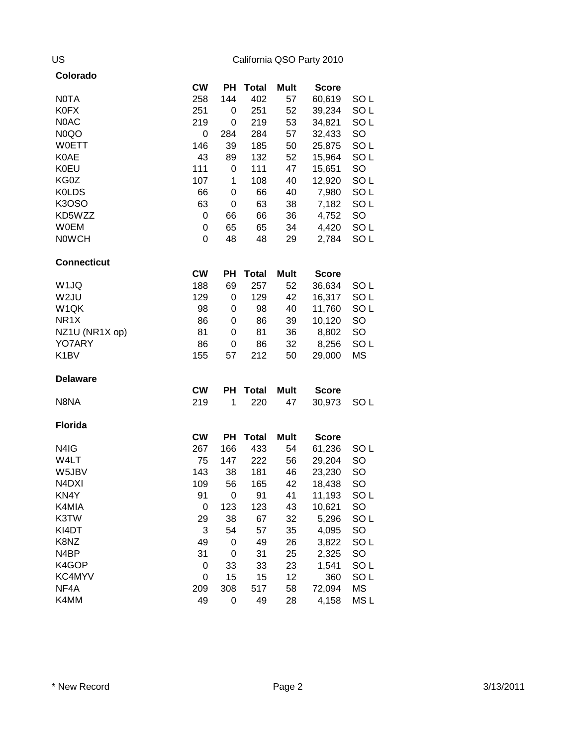| Colorado                       |           |             |              |             |              |                 |
|--------------------------------|-----------|-------------|--------------|-------------|--------------|-----------------|
|                                | <b>CW</b> | PH          | <b>Total</b> | <b>Mult</b> | <b>Score</b> |                 |
| <b>NOTA</b>                    | 258       | 144         | 402          | 57          | 60,619       | SO <sub>L</sub> |
| <b>K0FX</b>                    | 251       | 0           | 251          | 52          | 39,234       | SO <sub>L</sub> |
| N0AC                           | 219       | 0           | 219          | 53          | 34,821       | SO <sub>L</sub> |
| N <sub>0</sub> QO              | 0         | 284         | 284          | 57          | 32,433       | SO              |
| <b>W0ETT</b>                   | 146       | 39          | 185          | 50          | 25,875       | SO <sub>L</sub> |
| <b>K0AE</b>                    | 43        | 89          | 132          | 52          | 15,964       | SO <sub>L</sub> |
| <b>K0EU</b>                    | 111       | 0           | 111          | 47          | 15,651       | SO              |
| KG0Z                           | 107       | 1           | 108          | 40          | 12,920       | SO <sub>L</sub> |
| <b>KOLDS</b>                   | 66        | 0           | 66           | 40          | 7,980        | SO <sub>L</sub> |
| <b>K3OSO</b>                   | 63        | 0           | 63           | 38          | 7,182        | SO <sub>L</sub> |
| KD5WZZ                         | 0         | 66          | 66           | 36          | 4,752        | SO              |
| <b>W0EM</b>                    | 0         | 65          | 65           | 34          | 4,420        | SO <sub>L</sub> |
| <b>NOWCH</b>                   | 0         | 48          | 48           | 29          | 2,784        | SO <sub>L</sub> |
| <b>Connecticut</b>             |           |             |              |             |              |                 |
|                                | <b>CW</b> | PH          | <b>Total</b> | Mult        | <b>Score</b> |                 |
| W <sub>1JQ</sub>               | 188       | 69          | 257          | 52          | 36,634       | SO <sub>L</sub> |
| W <sub>2JU</sub>               | 129       | 0           | 129          | 42          | 16,317       | SO <sub>L</sub> |
| W <sub>1QK</sub>               | 98        | 0           | 98           | 40          | 11,760       | SO <sub>L</sub> |
| NR <sub>1</sub> X              | 86        | 0           | 86           | 39          | 10,120       | SO              |
| NZ1U (NR1X op)                 | 81        | 0           | 81           | 36          | 8,802        | SO              |
| YO7ARY                         | 86        | 0           | 86           | 32          | 8,256        | SO <sub>L</sub> |
| K <sub>1</sub> BV              | 155       | 57          | 212          | 50          | 29,000       | MS              |
| <b>Delaware</b>                |           |             |              |             |              |                 |
|                                | <b>CW</b> | PН          | <b>Total</b> | <b>Mult</b> | <b>Score</b> |                 |
| N8NA                           | 219       | 1           | 220          | 47          | 30,973       | SO <sub>L</sub> |
| <b>Florida</b>                 |           |             |              |             |              |                 |
|                                | <b>CW</b> | PH          | <b>Total</b> | <b>Mult</b> | <b>Score</b> |                 |
| N4IG                           | 267       | 166         | 433          | 54          | 61,236       | SO <sub>L</sub> |
| W4LT                           | 75        | 147         | 222          | 56          | 29,204       | SO              |
| W5JBV                          | 143       | 38          | 181          | 46          | 23,230       | SO              |
| N <sub>4</sub> D <sub>XI</sub> | 109       | 56          | 165          | 42          | 18,438       | SO              |
| KN4Y                           | 91        | $\mathbf 0$ | 91           | 41          | 11,193       | SO <sub>L</sub> |
| K4MIA                          | 0         | 123         | 123          | 43          | 10,621       | SO              |
| K3TW                           | 29        | 38          | 67           | 32          | 5,296        | SO <sub>L</sub> |
| KI4DT                          | 3         | 54          | 57           | 35          | 4,095        | SO              |
| K8NZ                           | 49        | 0           | 49           | 26          | 3,822        | SO <sub>L</sub> |
| N <sub>4</sub> BP              | 31        | 0           | 31           | 25          | 2,325        | SO              |
| K4GOP                          | 0         | 33          | 33           | 23          | 1,541        | SO <sub>L</sub> |
| KC4MYV                         | 0         | 15          | 15           | 12          | 360          | SO <sub>L</sub> |
| NF4A                           | 209       | 308         | 517          | 58          | 72,094       | <b>MS</b>       |
| K4MM                           | 49        | 0           | 49           | 28          | 4,158        | MS L            |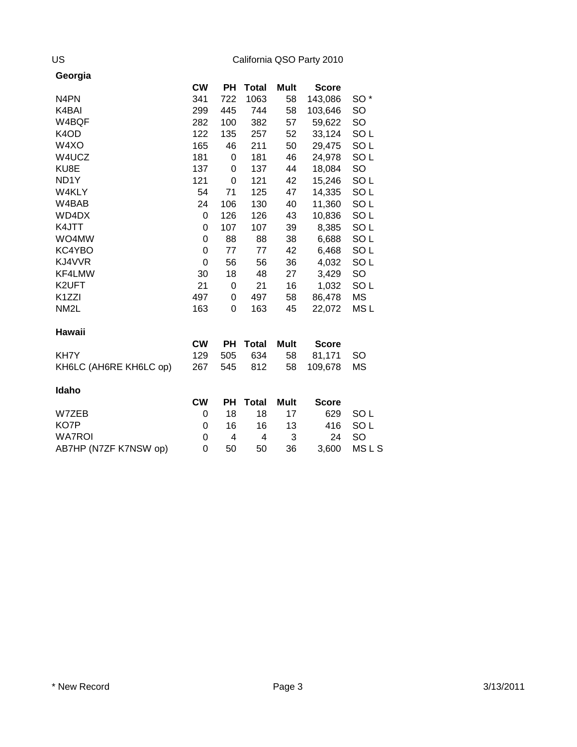| Georgia                       |             |     |              |             |              |                 |
|-------------------------------|-------------|-----|--------------|-------------|--------------|-----------------|
|                               | <b>CW</b>   | PН  | <b>Total</b> | <b>Mult</b> | <b>Score</b> |                 |
| N <sub>4</sub> PN             | 341         | 722 | 1063         | 58          | 143,086      | SO <sup>*</sup> |
| K4BAI                         | 299         | 445 | 744          | 58          | 103,646      | SO              |
| W4BQF                         | 282         | 100 | 382          | 57          | 59,622       | SO              |
| K <sub>4</sub> O <sub>D</sub> | 122         | 135 | 257          | 52          | 33,124       | SO <sub>L</sub> |
| W4XO                          | 165         | 46  | 211          | 50          | 29,475       | SO <sub>L</sub> |
| W4UCZ                         | 181         | 0   | 181          | 46          | 24,978       | SO <sub>L</sub> |
| KU8E                          | 137         | 0   | 137          | 44          | 18,084       | SO              |
| ND <sub>1</sub> Y             | 121         | 0   | 121          | 42          | 15,246       | SO <sub>L</sub> |
| W4KLY                         | 54          | 71  | 125          | 47          | 14,335       | SO <sub>L</sub> |
| W4BAB                         | 24          | 106 | 130          | 40          | 11,360       | SO <sub>L</sub> |
| WD4DX                         | 0           | 126 | 126          | 43          | 10,836       | SO <sub>L</sub> |
| K4JTT                         | 0           | 107 | 107          | 39          | 8,385        | SO <sub>L</sub> |
| WO4MW                         | 0           | 88  | 88           | 38          | 6,688        | SO <sub>L</sub> |
| KC4YBO                        | $\mathbf 0$ | 77  | 77           | 42          | 6,468        | SO <sub>L</sub> |
| KJ4VVR                        | 0           | 56  | 56           | 36          | 4,032        | SO <sub>L</sub> |
| KF4LMW                        | 30          | 18  | 48           | 27          | 3,429        | SO              |
| K2UFT                         | 21          | 0   | 21           | 16          | 1,032        | SO <sub>L</sub> |
| K <sub>1</sub> ZZI            | 497         | 0   | 497          | 58          | 86,478       | MS              |
| NM <sub>2</sub> L             | 163         | 0   | 163          | 45          | 22,072       | MS <sub>L</sub> |
| Hawaii                        |             |     |              |             |              |                 |
|                               | <b>CW</b>   | PH  | <b>Total</b> | <b>Mult</b> | <b>Score</b> |                 |
| KH7Y                          | 129         | 505 | 634          | 58          | 81,171       | SO              |
| KH6LC (AH6RE KH6LC op)        | 267         | 545 | 812          | 58          | 109,678      | MS              |
| Idaho                         |             |     |              |             |              |                 |
|                               | <b>CW</b>   | PН  | <b>Total</b> | <b>Mult</b> | <b>Score</b> |                 |
| W7ZEB                         | 0           | 18  | 18           | 17          | 629          | SO <sub>L</sub> |
| KO7P                          | 0           | 16  | 16           | 13          | 416          | SO L            |
| <b>WA7ROI</b>                 | 0           | 4   | 4            | 3           | 24           | SO              |
| AB7HP (N7ZF K7NSW op)         | 0           | 50  | 50           | 36          | 3,600        | <b>MSLS</b>     |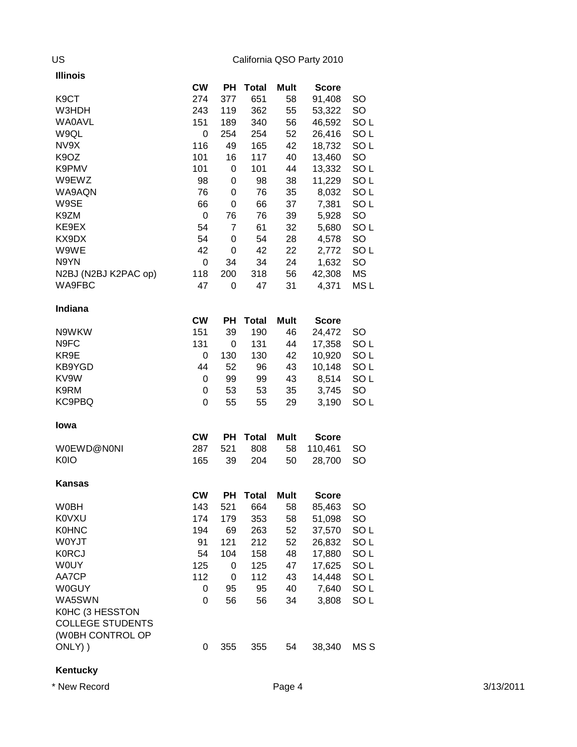| <b>Illinois</b>               |           |                |              |             |              |                 |
|-------------------------------|-----------|----------------|--------------|-------------|--------------|-----------------|
|                               | <b>CW</b> | <b>PH</b>      | <b>Total</b> | Mult        | <b>Score</b> |                 |
| K <sub>9</sub> CT             | 274       | 377            | 651          | 58          | 91,408       | SO              |
| W3HDH                         | 243       | 119            | 362          | 55          | 53,322       | SO              |
| <b>WA0AVL</b>                 | 151       | 189            | 340          | 56          | 46,592       | SO L            |
| W9QL                          | 0         | 254            | 254          | 52          | 26,416       | SO <sub>L</sub> |
| NV9X                          | 116       | 49             | 165          | 42          | 18,732       | SO L            |
| K9OZ                          | 101       | 16             | 117          | 40          | 13,460       | SO              |
| K9PMV                         | 101       | 0              | 101          | 44          | 13,332       | SO <sub>L</sub> |
| W9EWZ                         | 98        | 0              | 98           | 38          | 11,229       | SO <sub>L</sub> |
| WA9AQN                        | 76        | 0              | 76           | 35          | 8,032        | SO <sub>L</sub> |
| W9SE                          | 66        | 0              | 66           | 37          | 7,381        | SO <sub>L</sub> |
| K9ZM                          | 0         | 76             | 76           | 39          | 5,928        | SO              |
| KE9EX                         | 54        | $\overline{7}$ | 61           | 32          | 5,680        | SO <sub>L</sub> |
| KX9DX                         | 54        | 0              | 54           | 28          | 4,578        | SO              |
| W9WE                          | 42        | 0              | 42           | 22          | 2,772        | SO <sub>L</sub> |
| N9YN                          | 0         | 34             | 34           | 24          | 1,632        | SO              |
| N2BJ (N2BJ K2PAC op)          | 118       | 200            | 318          | 56          | 42,308       | <b>MS</b>       |
| WA9FBC                        | 47        | 0              | 47           | 31          | 4,371        | MS <sub>L</sub> |
|                               |           |                |              |             |              |                 |
| Indiana                       |           |                |              |             |              |                 |
|                               | <b>CW</b> | PH             | <b>Total</b> | Mult        | <b>Score</b> |                 |
| N9WKW                         | 151       | 39             | 190          | 46          | 24,472       | SO              |
| N9FC                          | 131       | $\mathbf 0$    | 131          | 44          | 17,358       | SO <sub>L</sub> |
| KR9E                          | 0         | 130            | 130          | 42          | 10,920       | SO <sub>L</sub> |
| KB9YGD                        | 44        | 52             | 96           | 43          | 10,148       | SO <sub>L</sub> |
| KV9W                          | 0         | 99             | 99           | 43          | 8,514        | SO <sub>L</sub> |
| K9RM                          | 0         | 53             | 53           | 35          | 3,745        | SO              |
| KC9PBQ                        | 0         | 55             | 55           | 29          | 3,190        | SO <sub>L</sub> |
| <b>lowa</b>                   |           |                |              |             |              |                 |
|                               | <b>CW</b> | PH             | <b>Total</b> | <b>Mult</b> | <b>Score</b> |                 |
| W0EWD@N0NI                    | 287       | 521            | 808          | 58          | 110,461      | <b>SO</b>       |
| K <sub>0</sub> I <sub>O</sub> |           |                |              |             |              |                 |
|                               | 165       | 39             | 204          | 50          | 28,700       | SO              |
| <b>Kansas</b>                 |           |                |              |             |              |                 |
|                               | <b>CW</b> | PH             | <b>Total</b> | <b>Mult</b> | <b>Score</b> |                 |
| <b>W0BH</b>                   | 143       | 521            | 664          | 58          | 85,463       | SO              |
| <b>K0VXU</b>                  | 174       | 179            | 353          | 58          | 51,098       | SO              |
| <b>K0HNC</b>                  | 194       | 69             | 263          | 52          | 37,570       | SO L            |
| W0YJT                         | 91        | 121            | 212          | 52          | 26,832       | SO <sub>L</sub> |
| <b>K0RCJ</b>                  | 54        | 104            | 158          | 48          | 17,880       | SO <sub>L</sub> |
| <b>WOUY</b>                   | 125       | 0              | 125          | 47          | 17,625       | SO <sub>L</sub> |
| AA7CP                         | 112       | 0              | 112          | 43          | 14,448       | SO <sub>L</sub> |
| <b>W0GUY</b>                  | 0         | 95             | 95           | 40          | 7,640        | SO <sub>L</sub> |
| WA5SWN                        | 0         | 56             | 56           | 34          | 3,808        | SO <sub>L</sub> |
| K0HC (3 HESSTON               |           |                |              |             |              |                 |
| <b>COLLEGE STUDENTS</b>       |           |                |              |             |              |                 |
| (W0BH CONTROL OP              |           |                |              |             |              |                 |
| ONLY) )                       | 0         | 355            | 355          | 54          | 38,340       | MS S            |
|                               |           |                |              |             |              |                 |

**Kentucky**

\* New Record Page 4 3/13/2011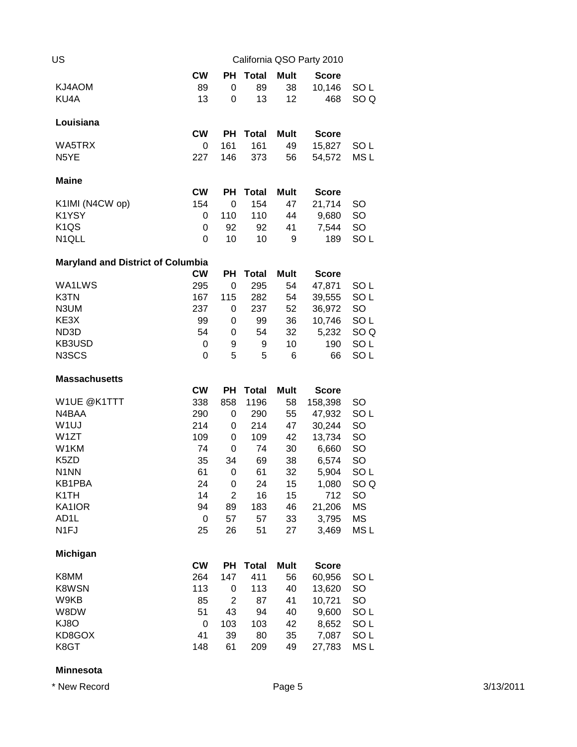| US                                       |           |                |              |             | California QSO Party 2010 |                                    |
|------------------------------------------|-----------|----------------|--------------|-------------|---------------------------|------------------------------------|
|                                          | <b>CW</b> | PН             | <b>Total</b> | <b>Mult</b> | <b>Score</b>              |                                    |
| KJ4AOM                                   | 89        | 0              | 89           | 38          | 10,146                    | SO <sub>L</sub>                    |
| KU4A                                     | 13        | 0              | 13           | 12          | 468                       | SO <sub>Q</sub>                    |
| Louisiana                                |           |                |              |             |                           |                                    |
|                                          | <b>CW</b> | PН             | <b>Total</b> | Mult        | <b>Score</b>              |                                    |
| WA5TRX                                   | 0         | 161            | 161          | 49          | 15,827                    | SO <sub>L</sub>                    |
| N5YE                                     | 227       | 146            | 373          | 56          | 54,572                    | MS <sub>L</sub>                    |
| <b>Maine</b>                             |           |                |              |             |                           |                                    |
|                                          | <b>CW</b> | PН             | <b>Total</b> | Mult        | <b>Score</b>              |                                    |
| K1IMI (N4CW op)                          | 154       | 0              | 154          | 47          | 21,714                    | SO                                 |
| K1YSY                                    | 0         | 110            | 110          | 44          | 9,680                     | SO                                 |
| K <sub>1QS</sub>                         | 0         | 92             | 92           | 41          | 7,544                     | SO                                 |
| N1QLL                                    | 0         | 10             | 10           | 9           | 189                       | SO <sub>L</sub>                    |
| <b>Maryland and District of Columbia</b> |           |                |              |             |                           |                                    |
|                                          | <b>CW</b> | PH             | <b>Total</b> | Mult        | <b>Score</b>              |                                    |
| WA1LWS                                   | 295       | 0              | 295          | 54          | 47,871                    | SO <sub>L</sub>                    |
| K3TN                                     | 167       | 115            | 282          | 54          | 39,555                    | SO <sub>L</sub>                    |
| N3UM                                     | 237       | 0              | 237          | 52          | 36,972                    | SO                                 |
| KE3X                                     | 99        | 0              | 99           | 36          | 10,746                    | SO <sub>L</sub>                    |
| ND3D                                     | 54        | 0              | 54           | 32          | 5,232                     | SO <sub>Q</sub>                    |
| KB3USD                                   | 0         | 9              | 9            | 10          | 190                       | SO <sub>L</sub>                    |
| N3SCS                                    | 0         | 5              | 5            | 6           | 66                        | SO <sub>L</sub>                    |
| <b>Massachusetts</b>                     |           |                |              |             |                           |                                    |
|                                          | <b>CW</b> | <b>PH</b>      | <b>Total</b> | Mult        | <b>Score</b>              |                                    |
| W1UE @K1TTT                              | 338       | 858            | 1196         | 58          | 158,398                   | <b>SO</b>                          |
| N4BAA                                    | 290       | 0              | 290          | 55          | 47,932                    | SO <sub>L</sub>                    |
| W <sub>1UJ</sub>                         | 214       | 0              | 214          | 47          | 30,244                    | SO                                 |
| W <sub>1</sub> ZT                        | 109       | 0              | 109          | 42          | 13,734                    | SO                                 |
| W1KM                                     | 74        | 0              | 74           | 30          | 6,660                     | SO                                 |
| K5ZD                                     | 35        | 34             | 69           | 38          | 6,574                     | SO                                 |
| N <sub>1</sub> NN                        |           |                |              |             |                           |                                    |
|                                          | 61        | 0              | 61           | 32          | 5,904                     | SO <sub>L</sub>                    |
| KB1PBA                                   | 24        | 0              | 24           | 15          | 1,080                     | SO Q                               |
| K <sub>1</sub> TH                        | 14        | $\overline{c}$ | 16           | 15          | 712                       | SO                                 |
| KA1IOR                                   | 94        | 89             | 183          | 46          | 21,206                    | MS                                 |
| AD <sub>1</sub> L                        | 0         | 57             | 57           | 33          | 3,795                     | <b>MS</b>                          |
| N <sub>1FJ</sub>                         | 25        | 26             | 51           | 27          | 3,469                     | MS <sub>L</sub>                    |
| <b>Michigan</b>                          |           |                |              |             |                           |                                    |
|                                          | <b>CW</b> | PH             | <b>Total</b> | Mult        | <b>Score</b>              |                                    |
| K8MM                                     | 264       | 147            | 411          | 56          | 60,956                    | SO <sub>L</sub>                    |
| K8WSN                                    | 113       | 0              | 113          | 40          | 13,620                    | SO                                 |
| W9KB                                     | 85        | $\overline{2}$ | 87           | 41          | 10,721                    | SO                                 |
| W8DW                                     | 51        | 43             | 94           | 40          | 9,600                     | SO <sub>L</sub>                    |
| KJ8O                                     | 0         | 103            | 103          | 42          | 8,652                     | SO <sub>L</sub>                    |
| KD8GOX<br>K8GT                           | 41<br>148 | 39<br>61       | 80<br>209    | 35<br>49    | 7,087<br>27,783           | SO <sub>L</sub><br>MS <sub>L</sub> |

### **Minnesota**

\* New Record Page 5 3/13/2011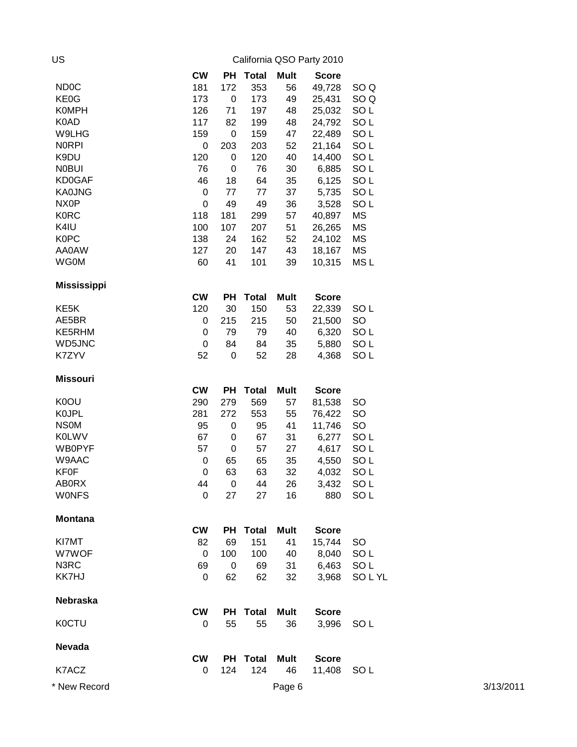| US                 |             |           |              |             | California QSO Party 2010 |                 |           |
|--------------------|-------------|-----------|--------------|-------------|---------------------------|-----------------|-----------|
|                    | <b>CW</b>   | PH        | <b>Total</b> | <b>Mult</b> | <b>Score</b>              |                 |           |
| ND <sub>0</sub> C  | 181         | 172       | 353          | 56          | 49,728                    | SO <sub>Q</sub> |           |
| KE0G               | 173         | $\pmb{0}$ | 173          | 49          | 25,431                    | SO <sub>Q</sub> |           |
| <b>K0MPH</b>       | 126         | 71        | 197          | 48          | 25,032                    | SO <sub>L</sub> |           |
| K0AD               | 117         | 82        | 199          | 48          | 24,792                    | SO <sub>L</sub> |           |
| W9LHG              | 159         | $\pmb{0}$ | 159          | 47          | 22,489                    | SO <sub>L</sub> |           |
| <b>NORPI</b>       | $\pmb{0}$   | 203       | 203          | 52          | 21,164                    | SO <sub>L</sub> |           |
| K9DU               | 120         | $\pmb{0}$ | 120          | 40          | 14,400                    | SO <sub>L</sub> |           |
| <b>NOBUI</b>       | 76          | 0         | 76           | 30          | 6,885                     | SO <sub>L</sub> |           |
| <b>KD0GAF</b>      | 46          | 18        | 64           | 35          | 6,125                     | SO <sub>L</sub> |           |
| <b>KA0JNG</b>      | $\pmb{0}$   | 77        | 77           | 37          | 5,735                     | SO <sub>L</sub> |           |
| NX <sub>0</sub> P  | $\mathbf 0$ | 49        | 49           | 36          | 3,528                     | SO <sub>L</sub> |           |
| <b>K0RC</b>        | 118         | 181       | 299          | 57          | 40,897                    | MS              |           |
| K4IU               | 100         | 107       | 207          | 51          | 26,265                    | MS              |           |
| <b>K0PC</b>        | 138         | 24        | 162          | 52          | 24,102                    | MS              |           |
| AA0AW              | 127         | 20        | 147          | 43          | 18,167                    | <b>MS</b>       |           |
| <b>WG0M</b>        | 60          | 41        | 101          | 39          | 10,315                    | MS <sub>L</sub> |           |
| <b>Mississippi</b> |             |           |              |             |                           |                 |           |
|                    | <b>CW</b>   | <b>PH</b> | <b>Total</b> | Mult        | <b>Score</b>              |                 |           |
| KE <sub>5</sub> K  | 120         | 30        | 150          | 53          | 22,339                    | SO <sub>L</sub> |           |
| AE5BR              | $\pmb{0}$   | 215       | 215          | 50          | 21,500                    | SO              |           |
| KE5RHM             | $\pmb{0}$   | 79        | 79           | 40          | 6,320                     | SO <sub>L</sub> |           |
| WD5JNC             | $\mathbf 0$ | 84        | 84           | 35          | 5,880                     | SO <sub>L</sub> |           |
| K7ZYV              | 52          | $\pmb{0}$ | 52           | 28          | 4,368                     | SO <sub>L</sub> |           |
| <b>Missouri</b>    |             |           |              |             |                           |                 |           |
|                    | <b>CW</b>   | <b>PH</b> | <b>Total</b> | <b>Mult</b> | <b>Score</b>              |                 |           |
| K0OU               | 290         | 279       | 569          | 57          | 81,538                    | <b>SO</b>       |           |
| <b>K0JPL</b>       | 281         | 272       | 553          | 55          | 76,422                    | <b>SO</b>       |           |
| <b>NSOM</b>        | 95          | 0         | 95           | 41          | 11,746                    | <b>SO</b>       |           |
| <b>K0LWV</b>       | 67          | 0         | 67           | 31          | 6,277                     | SO <sub>L</sub> |           |
| <b>WB0PYF</b>      | 57          | 0         | 57           | 27          | 4,617                     | SO <sub>L</sub> |           |
| W9AAC              | $\pmb{0}$   | 65        | 65           | 35          | 4,550                     | SO <sub>L</sub> |           |
| <b>KF0F</b>        | $\pmb{0}$   | 63        | 63           | 32          | 4,032                     | SO <sub>L</sub> |           |
| <b>AB0RX</b>       | 44          | 0         | 44           | 26          | 3,432                     | SO <sub>L</sub> |           |
| <b>WONFS</b>       | $\mathbf 0$ | 27        | 27           | 16          | 880                       | SO <sub>L</sub> |           |
| <b>Montana</b>     |             |           |              |             |                           |                 |           |
|                    | <b>CW</b>   | РH        | <b>Total</b> | <b>Mult</b> | <b>Score</b>              |                 |           |
| KI7MT              | 82          | 69        | 151          | 41          | 15,744                    | <b>SO</b>       |           |
| W7WOF              | 0           | 100       | 100          | 40          | 8,040                     | SO <sub>L</sub> |           |
| N3RC               | 69          | 0         | 69           | 31          | 6,463                     | SO <sub>L</sub> |           |
| KK7HJ              | 0           | 62        | 62           | 32          | 3,968                     | SOLYL           |           |
| Nebraska           |             |           |              |             |                           |                 |           |
|                    | <b>CW</b>   | PH        | <b>Total</b> | <b>Mult</b> | <b>Score</b>              |                 |           |
| <b>K0CTU</b>       | 0           | 55        | 55           | 36          | 3,996                     | SO <sub>L</sub> |           |
| <b>Nevada</b>      |             |           |              |             |                           |                 |           |
|                    | <b>CW</b>   | <b>PH</b> | <b>Total</b> | <b>Mult</b> | <b>Score</b>              |                 |           |
| K7ACZ              | 0           | 124       | 124          | 46          | 11,408                    | SO <sub>L</sub> |           |
| * New Record       |             |           |              | Page 6      |                           |                 | 3/13/2011 |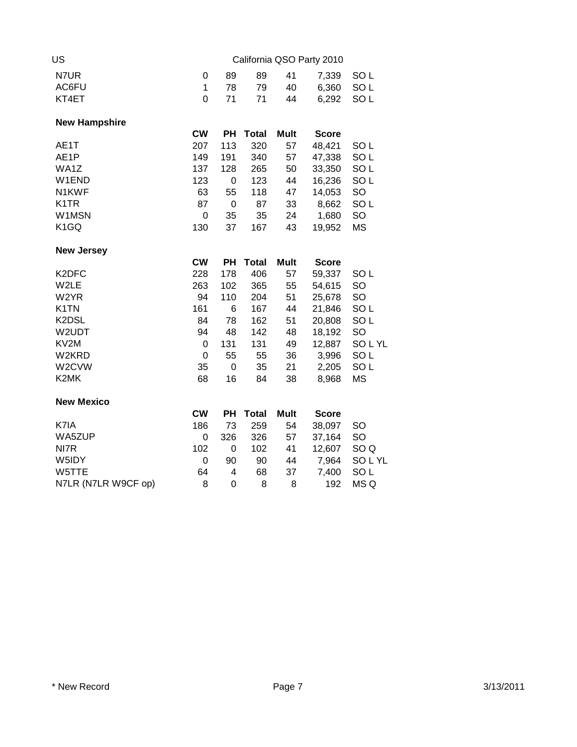| US                             |             |     |              |             | California QSO Party 2010 |                 |
|--------------------------------|-------------|-----|--------------|-------------|---------------------------|-----------------|
| N7UR                           | 0           | 89  | 89           | 41          | 7,339                     | SO <sub>L</sub> |
| AC6FU                          | 1           | 78  | 79           | 40          | 6,360                     | SO <sub>L</sub> |
| KT4ET                          | 0           | 71  | 71           | 44          | 6,292                     | SO <sub>L</sub> |
| <b>New Hampshire</b>           |             |     |              |             |                           |                 |
|                                | <b>CW</b>   | PH  | <b>Total</b> | <b>Mult</b> | <b>Score</b>              |                 |
| AE1T                           | 207         | 113 | 320          | 57          | 48,421                    | SO <sub>L</sub> |
| AE1P                           | 149         | 191 | 340          | 57          | 47,338                    | SO <sub>L</sub> |
| WA1Z                           | 137         | 128 | 265          | 50          | 33,350                    | SO <sub>L</sub> |
| W1END                          | 123         | 0   | 123          | 44          | 16,236                    | SO <sub>L</sub> |
| N1KWF                          | 63          | 55  | 118          | 47          | 14,053                    | SO              |
| K <sub>1</sub> TR              | 87          | 0   | 87           | 33          | 8,662                     | SO <sub>L</sub> |
| W1MSN                          | $\mathbf 0$ | 35  | 35           | 24          | 1,680                     | SO              |
| K <sub>1</sub> GQ              | 130         | 37  | 167          | 43          | 19,952                    | <b>MS</b>       |
| <b>New Jersey</b>              |             |     |              |             |                           |                 |
|                                | <b>CW</b>   | PH  | <b>Total</b> | <b>Mult</b> | <b>Score</b>              |                 |
| K <sub>2</sub> DF <sub>C</sub> | 228         | 178 | 406          | 57          | 59,337                    | SO <sub>L</sub> |
| W2LE                           | 263         | 102 | 365          | 55          | 54,615                    | SO              |
| W2YR                           | 94          | 110 | 204          | 51          | 25,678                    | SO              |
| K <sub>1</sub> TN              | 161         | 6   | 167          | 44          | 21,846                    | SO <sub>L</sub> |
| K2DSL                          | 84          | 78  | 162          | 51          | 20,808                    | SO <sub>L</sub> |
| W2UDT                          | 94          | 48  | 142          | 48          | 18,192                    | <b>SO</b>       |
| KV2M                           | 0           | 131 | 131          | 49          | 12,887                    | SOLYL           |
| W2KRD                          | $\mathbf 0$ | 55  | 55           | 36          | 3,996                     | SO <sub>L</sub> |
| W2CVW                          | 35          | 0   | 35           | 21          | 2,205                     | SO <sub>L</sub> |
| K2MK                           | 68          | 16  | 84           | 38          | 8,968                     | <b>MS</b>       |
| <b>New Mexico</b>              |             |     |              |             |                           |                 |
|                                | <b>CW</b>   | PH  | <b>Total</b> | Mult        | <b>Score</b>              |                 |
| K7IA                           | 186         | 73  | 259          | 54          | 38,097                    | SO              |
| WA5ZUP                         | 0           | 326 | 326          | 57          | 37,164                    | SO              |
| NI7R                           | 102         | 0   | 102          | 41          | 12,607                    | SO <sub>Q</sub> |
| W5IDY                          | 0           | 90  | 90           | 44          | 7,964                     | SOLYL           |
| W5TTE                          | 64          | 4   | 68           | 37          | 7,400                     | SO <sub>L</sub> |
| N7LR (N7LR W9CF op)            | 8           | 0   | 8            | 8           | 192                       | MS Q            |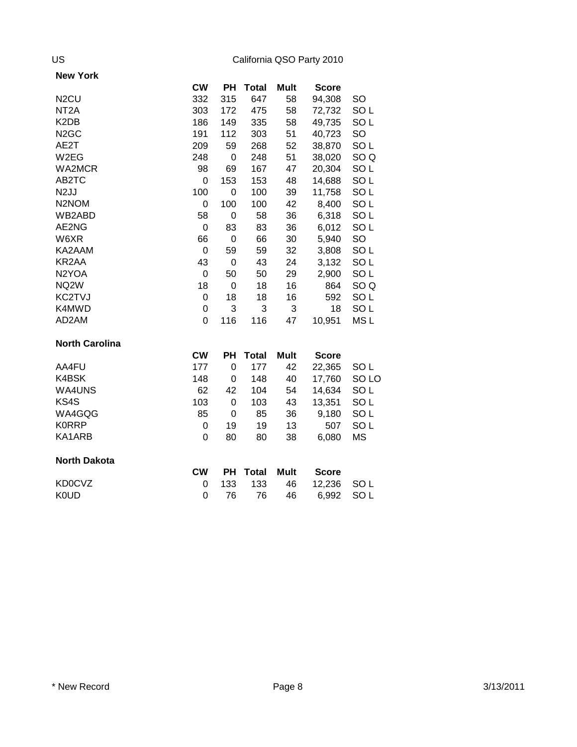| <b>New York</b>       |           |             |              |             |              |                  |
|-----------------------|-----------|-------------|--------------|-------------|--------------|------------------|
|                       | <b>CW</b> | PН          | <b>Total</b> | Mult        | <b>Score</b> |                  |
| N <sub>2</sub> CU     | 332       | 315         | 647          | 58          | 94,308       | SO               |
| NT <sub>2</sub> A     | 303       | 172         | 475          | 58          | 72,732       | SO <sub>L</sub>  |
| K <sub>2</sub> DB     | 186       | 149         | 335          | 58          | 49,735       | SO <sub>L</sub>  |
| N <sub>2</sub> GC     | 191       | 112         | 303          | 51          | 40,723       | <b>SO</b>        |
| AE2T                  | 209       | 59          | 268          | 52          | 38,870       | SO <sub>L</sub>  |
| W2EG                  | 248       | $\mathbf 0$ | 248          | 51          | 38,020       | SO <sub>Q</sub>  |
| WA2MCR                | 98        | 69          | 167          | 47          | 20,304       | SO <sub>L</sub>  |
| AB2TC                 | 0         | 153         | 153          | 48          | 14,688       | SO <sub>L</sub>  |
| N <sub>2</sub> JJ     | 100       | $\mathbf 0$ | 100          | 39          | 11,758       | SO <sub>L</sub>  |
| N2NOM                 | 0         | 100         | 100          | 42          | 8,400        | SO <sub>L</sub>  |
| WB2ABD                | 58        | 0           | 58           | 36          | 6,318        | SO <sub>L</sub>  |
| AE2NG                 | 0         | 83          | 83           | 36          | 6,012        | SO <sub>L</sub>  |
| W6XR                  | 66        | $\mathbf 0$ | 66           | 30          | 5,940        | SO               |
| KA2AAM                | 0         | 59          | 59           | 32          | 3,808        | SO <sub>L</sub>  |
| KR <sub>2</sub> AA    | 43        | $\mathbf 0$ | 43           | 24          | 3,132        | SO <sub>L</sub>  |
| N <sub>2</sub> YOA    | 0         | 50          | 50           | 29          | 2,900        | SO <sub>L</sub>  |
| NQ2W                  | 18        | 0           | 18           | 16          | 864          | SO <sub>Q</sub>  |
| KC2TVJ                | 0         | 18          | 18           | 16          | 592          | SO <sub>L</sub>  |
| K4MWD                 | 0         | 3           | 3            | 3           | 18           | SO <sub>L</sub>  |
| AD2AM                 | 0         | 116         | 116          | 47          | 10,951       | MS <sub>L</sub>  |
| <b>North Carolina</b> |           |             |              |             |              |                  |
|                       | <b>CW</b> | <b>PH</b>   | <b>Total</b> | Mult        | <b>Score</b> |                  |
| AA4FU                 | 177       | 0           | 177          | 42          | 22,365       | SO <sub>L</sub>  |
| K4BSK                 | 148       | 0           | 148          | 40          | 17,760       | SO <sub>LO</sub> |
| <b>WA4UNS</b>         | 62        | 42          | 104          | 54          | 14,634       | SO <sub>L</sub>  |
| KS4S                  | 103       | 0           | 103          | 43          | 13,351       | SO <sub>L</sub>  |
| WA4GQG                | 85        | 0           | 85           | 36          | 9,180        | SO <sub>L</sub>  |
| <b>K0RRP</b>          | 0         | 19          | 19           | 13          | 507          | SO <sub>L</sub>  |
| KA1ARB                | 0         | 80          | 80           | 38          | 6,080        | <b>MS</b>        |
| <b>North Dakota</b>   |           |             |              |             |              |                  |
|                       | <b>CW</b> | <b>PH</b>   | <b>Total</b> | <b>Mult</b> | <b>Score</b> |                  |
| <b>KD0CVZ</b>         | 0         | 133         | 133          | 46          | 12,236       | SO <sub>L</sub>  |
| <b>K0UD</b>           | 0         | 76          | 76           | 46          | 6,992        | SO <sub>L</sub>  |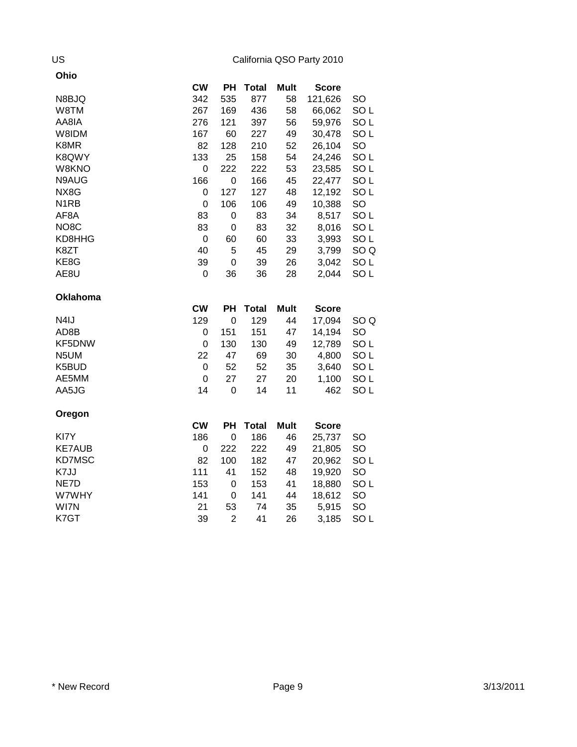| Ohio              |           |             |              |             |              |                 |
|-------------------|-----------|-------------|--------------|-------------|--------------|-----------------|
|                   | <b>CW</b> | <b>PH</b>   | <b>Total</b> | <b>Mult</b> | <b>Score</b> |                 |
| N8BJQ             | 342       | 535         | 877          | 58          | 121,626      | <b>SO</b>       |
| W8TM              | 267       | 169         | 436          | 58          | 66,062       | SO <sub>L</sub> |
| AA8IA             | 276       | 121         | 397          | 56          | 59,976       | SO <sub>L</sub> |
| W8IDM             | 167       | 60          | 227          | 49          | 30,478       | SO <sub>L</sub> |
| K8MR              | 82        | 128         | 210          | 52          | 26,104       | SO              |
| K8QWY             | 133       | 25          | 158          | 54          | 24,246       | SO <sub>L</sub> |
| W8KNO             | 0         | 222         | 222          | 53          | 23,585       | SO <sub>L</sub> |
| N9AUG             | 166       | 0           | 166          | 45          | 22,477       | SO <sub>L</sub> |
| NX8G              | 0         | 127         | 127          | 48          | 12,192       | SO <sub>L</sub> |
| N <sub>1</sub> RB | 0         | 106         | 106          | 49          | 10,388       | SO              |
| AF8A              | 83        | 0           | 83           | 34          | 8,517        | SO <sub>L</sub> |
| NO <sub>8</sub> C | 83        | 0           | 83           | 32          | 8,016        | SO <sub>L</sub> |
| KD8HHG            | 0         | 60          | 60           | 33          | 3,993        | SO <sub>L</sub> |
| K8ZT              | 40        | 5           | 45           | 29          | 3,799        | SO <sub>Q</sub> |
| KE8G              | 39        | 0           | 39           | 26          | 3,042        | SO <sub>L</sub> |
| AE8U              | 0         | 36          | 36           | 28          | 2,044        | SO <sub>L</sub> |
| <b>Oklahoma</b>   |           |             |              |             |              |                 |
|                   |           |             |              |             |              |                 |
|                   | <b>CW</b> | PH          | <b>Total</b> | <b>Mult</b> | <b>Score</b> |                 |
| N4IJ              | 129       | $\mathbf 0$ | 129          | 44          | 17,094       | SO <sub>Q</sub> |
| AD8B              | 0         | 151         | 151          | 47          | 14,194       | <b>SO</b>       |
| KF5DNW            | 0         | 130         | 130          | 49          | 12,789       | SO <sub>L</sub> |
| N5UM              | 22        | 47          | 69           | 30          | 4,800        | SO <sub>L</sub> |
| K5BUD             | 0         | 52          | 52           | 35          | 3,640        | SO <sub>L</sub> |
| AE5MM             | 0         | 27          | 27           | 20          | 1,100        | SO <sub>L</sub> |
| AA5JG             | 14        | 0           | 14           | 11          | 462          | SO <sub>L</sub> |
| Oregon            |           |             |              |             |              |                 |
|                   | <b>CW</b> | PH          | <b>Total</b> | <b>Mult</b> | <b>Score</b> |                 |
| KI7Y              | 186       | $\mathbf 0$ | 186          | 46          | 25,737       | <b>SO</b>       |
| <b>KE7AUB</b>     | 0         | 222         | 222          | 49          | 21,805       | SO              |
| KD7MSC            | 82        | 100         | 182          | 47          | 20,962       | SO <sub>L</sub> |
| K7JJ              | 111       | 41          | 152          | 48          | 19,920       | <b>SO</b>       |
| NE7D              | 153       | 0           | 153          | 41          | 18,880       | SO <sub>L</sub> |
| W7WHY             | 141       | 0           | 141          | 44          | 18,612       | SO              |
| WI7N              | 21        | 53          | 74           | 35          | 5,915        | SO              |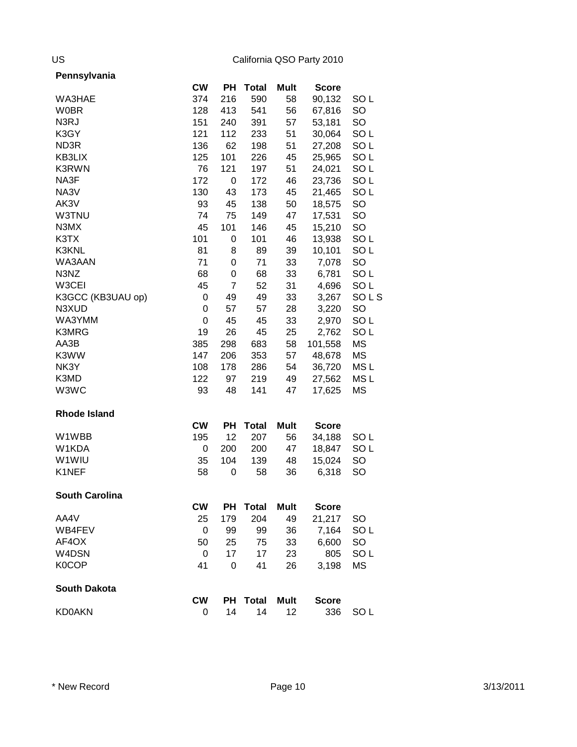| Pennsylvania |
|--------------|
|--------------|

|                       | <b>CW</b> | PН             | <b>Total</b> | Mult        | <b>Score</b> |                 |
|-----------------------|-----------|----------------|--------------|-------------|--------------|-----------------|
| WA3HAE                | 374       | 216            | 590          | 58          | 90,132       | SO <sub>L</sub> |
| <b>W0BR</b>           | 128       | 413            | 541          | 56          | 67,816       | SO              |
| N3RJ                  | 151       | 240            | 391          | 57          | 53,181       | SO              |
| K3GY                  | 121       | 112            | 233          | 51          | 30,064       | SO <sub>L</sub> |
| ND3R                  | 136       | 62             | 198          | 51          | 27,208       | SO <sub>L</sub> |
| KB3LIX                | 125       | 101            | 226          | 45          | 25,965       | SO <sub>L</sub> |
| K3RWN                 | 76        | 121            | 197          | 51          | 24,021       | SO <sub>L</sub> |
| NA3F                  | 172       | 0              | 172          | 46          | 23,736       | SO <sub>L</sub> |
| NA3V                  | 130       | 43             | 173          | 45          | 21,465       | SO <sub>L</sub> |
| AK3V                  | 93        | 45             | 138          | 50          | 18,575       | SO              |
| W3TNU                 | 74        | 75             | 149          | 47          | 17,531       | SO              |
| N3MX                  | 45        | 101            | 146          | 45          | 15,210       | SO              |
| K3TX                  | 101       | 0              | 101          | 46          | 13,938       | SO <sub>L</sub> |
| K3KNL                 | 81        | 8              | 89           | 39          | 10,101       | SO <sub>L</sub> |
| WA3AAN                | 71        | 0              | 71           | 33          | 7,078        | SO              |
| N3NZ                  | 68        | 0              | 68           | 33          | 6,781        | SO <sub>L</sub> |
| W3CEI                 | 45        | $\overline{7}$ | 52           | 31          | 4,696        | SO <sub>L</sub> |
| K3GCC (KB3UAU op)     | 0         | 49             | 49           | 33          | 3,267        | SOLS            |
| N3XUD                 | 0         | 57             | 57           | 28          | 3,220        | SO              |
| WA3YMM                | 0         | 45             | 45           | 33          | 2,970        | SO <sub>L</sub> |
| K3MRG                 | 19        | 26             | 45           | 25          | 2,762        | SO <sub>L</sub> |
| AA3B                  | 385       | 298            | 683          | 58          | 101,558      | MS              |
| K3WW                  | 147       | 206            | 353          | 57          | 48,678       | MS              |
| NK3Y                  | 108       | 178            | 286          | 54          | 36,720       | MS <sub>L</sub> |
| K3MD                  | 122       | 97             | 219          | 49          | 27,562       | MS <sub>L</sub> |
| W3WC                  | 93        | 48             | 141          | 47          | 17,625       | ΜS              |
| <b>Rhode Island</b>   |           |                |              |             |              |                 |
|                       | <b>CW</b> | PH             | <b>Total</b> | <b>Mult</b> | <b>Score</b> |                 |
| W1WBB                 | 195       | 12             | 207          | 56          | 34,188       | SO <sub>L</sub> |
| W1KDA                 | 0         | 200            | 200          | 47          | 18,847       | SO <sub>L</sub> |
| W <sub>1</sub> WIU    | 35        | 104            | 139          | 48          | 15,024       | SO              |
| K1NEF                 | 58        | 0              | 58           | 36          | 6,318        | SO              |
| <b>South Carolina</b> |           |                |              |             |              |                 |
|                       | <b>CW</b> |                | PH Total     | Mult        | <b>Score</b> |                 |
| AA4V                  | 25        | 179            | 204          | 49          | 21,217       | <b>SO</b>       |
| WB4FEV                | 0         | 99             | 99           | 36          | 7,164        | SO <sub>L</sub> |
| AF4OX                 | 50        | 25             | 75           | 33          | 6,600        | SO              |
| W4DSN                 | 0         | 17             | 17           | 23          | 805          | SO <sub>L</sub> |
| K0COP                 | 41        | 0              | 41           | 26          | 3,198        | MS              |
| <b>South Dakota</b>   |           |                |              |             |              |                 |
|                       | <b>CW</b> | <b>PH</b>      | <b>Total</b> | <b>Mult</b> | <b>Score</b> |                 |
| <b>KD0AKN</b>         | 0         | 14             | 14           | 12          | 336          | SO <sub>L</sub> |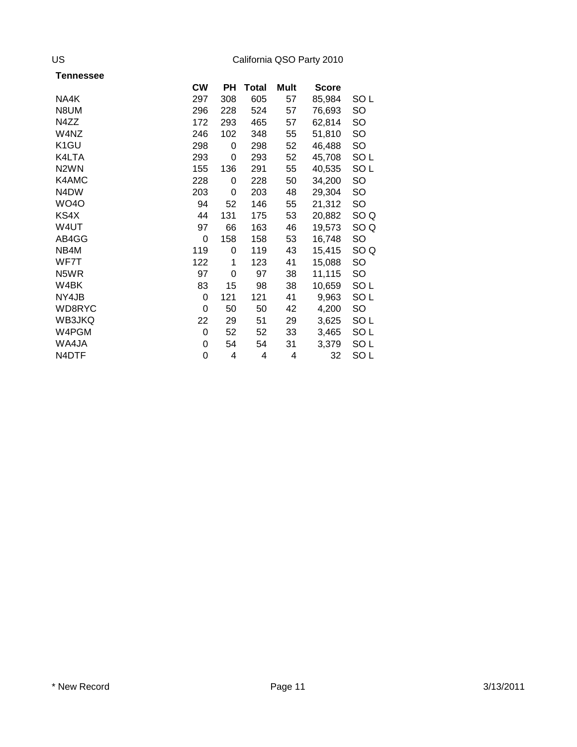| Tennessee         |           |     |       |      |              |                 |
|-------------------|-----------|-----|-------|------|--------------|-----------------|
|                   | <b>CW</b> | PН  | Total | Mult | <b>Score</b> |                 |
| NA4K              | 297       | 308 | 605   | 57   | 85,984       | SO <sub>L</sub> |
| N8UM              | 296       | 228 | 524   | 57   | 76,693       | SO              |
| N4ZZ              | 172       | 293 | 465   | 57   | 62,814       | <b>SO</b>       |
| W4NZ              | 246       | 102 | 348   | 55   | 51,810       | SO              |
| K <sub>1</sub> GU | 298       | 0   | 298   | 52   | 46,488       | SO              |
| K4LTA             | 293       | 0   | 293   | 52   | 45,708       | SO <sub>L</sub> |
| N <sub>2</sub> WN | 155       | 136 | 291   | 55   | 40,535       | SO <sub>L</sub> |
| K4AMC             | 228       | 0   | 228   | 50   | 34,200       | SO              |
| N4DW              | 203       | 0   | 203   | 48   | 29,304       | <b>SO</b>       |
| <b>WO40</b>       | 94        | 52  | 146   | 55   | 21,312       | <b>SO</b>       |
| KS4X              | 44        | 131 | 175   | 53   | 20,882       | SO <sub>Q</sub> |
| W4UT              | 97        | 66  | 163   | 46   | 19,573       | SO <sub>Q</sub> |
| AB4GG             | 0         | 158 | 158   | 53   | 16,748       | SO              |
| NB4M              | 119       | 0   | 119   | 43   | 15,415       | SO <sub>Q</sub> |
| WF7T              | 122       | 1   | 123   | 41   | 15,088       | <b>SO</b>       |
| N5WR              | 97        | 0   | 97    | 38   | 11,115       | <b>SO</b>       |
| W4BK              | 83        | 15  | 98    | 38   | 10,659       | SO <sub>L</sub> |
| NY4JB             | 0         | 121 | 121   | 41   | 9,963        | SO <sub>L</sub> |
| WD8RYC            | 0         | 50  | 50    | 42   | 4,200        | <b>SO</b>       |
| WB3JKQ            | 22        | 29  | 51    | 29   | 3,625        | SO <sub>L</sub> |
| W4PGM             | 0         | 52  | 52    | 33   | 3,465        | SO <sub>L</sub> |
| WA4JA             | 0         | 54  | 54    | 31   | 3,379        | SO <sub>L</sub> |
| N4DTF             | 0         | 4   | 4     | 4    | 32           | SO <sub>L</sub> |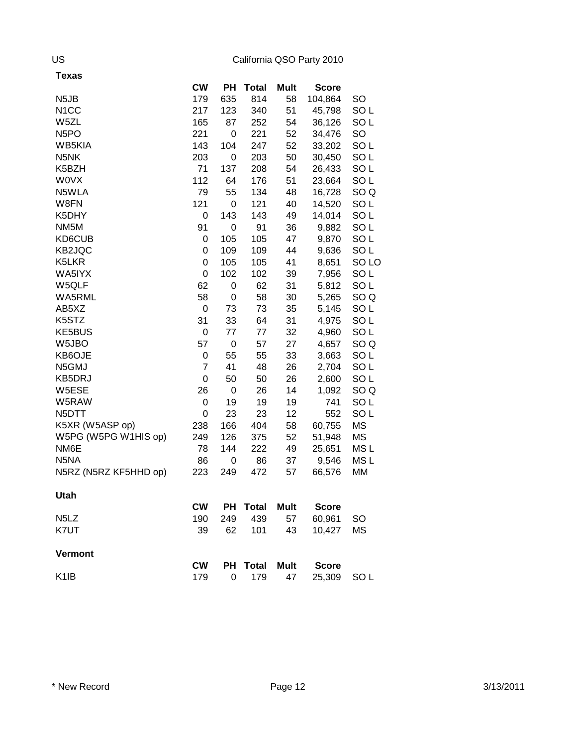| Texas                         |           |             |              |             |              |                  |
|-------------------------------|-----------|-------------|--------------|-------------|--------------|------------------|
|                               | <b>CW</b> | PH          | <b>Total</b> | Mult        | <b>Score</b> |                  |
| N <sub>5</sub> JB             | 179       | 635         | 814          | 58          | 104,864      | SO               |
| N <sub>1</sub> CC             | 217       | 123         | 340          | 51          | 45,798       | SO <sub>L</sub>  |
| W5ZL                          | 165       | 87          | 252          | 54          | 36,126       | SO <sub>L</sub>  |
| N <sub>5</sub> PO             | 221       | 0           | 221          | 52          | 34,476       | SO               |
| WB5KIA                        | 143       | 104         | 247          | 52          | 33,202       | SO <sub>L</sub>  |
| N5NK                          | 203       | 0           | 203          | 50          | 30,450       | SO <sub>L</sub>  |
| K5BZH                         | 71        | 137         | 208          | 54          | 26,433       | SO <sub>L</sub>  |
| <b>WOVX</b>                   | 112       | 64          | 176          | 51          | 23,664       | SO <sub>L</sub>  |
| N5WLA                         | 79        | 55          | 134          | 48          | 16,728       | SO <sub>Q</sub>  |
| W8FN                          | 121       | 0           | 121          | 40          | 14,520       | SO <sub>L</sub>  |
| K5DHY                         | 0         | 143         | 143          | 49          | 14,014       | SO <sub>L</sub>  |
| NM <sub>5</sub> M             | 91        | 0           | 91           | 36          | 9,882        | SO L             |
| KD6CUB                        | 0         | 105         | 105          | 47          | 9,870        | SO L             |
| KB2JQC                        | 0         | 109         | 109          | 44          | 9,636        | SO <sub>L</sub>  |
| K5LKR                         | 0         | 105         | 105          | 41          | 8,651        | SO <sub>LO</sub> |
| WA5IYX                        | 0         | 102         | 102          | 39          | 7,956        | SO <sub>L</sub>  |
| W5QLF                         | 62        | 0           | 62           | 31          | 5,812        | SO <sub>L</sub>  |
| WA5RML                        | 58        | 0           | 58           | 30          | 5,265        | SO <sub>Q</sub>  |
| AB5XZ                         | 0         | 73          | 73           | 35          | 5,145        | SO <sub>L</sub>  |
| K5STZ                         | 31        | 33          | 64           | 31          | 4,975        | SO <sub>L</sub>  |
| KE5BUS                        | 0         | 77          | 77           | 32          | 4,960        | SO <sub>L</sub>  |
| W <sub>5</sub> JBO            | 57        | $\mathbf 0$ | 57           | 27          | 4,657        | SO <sub>Q</sub>  |
| KB6OJE                        | 0         | 55          | 55           | 33          | 3,663        | SO <sub>L</sub>  |
| N5GMJ                         | 7         | 41          | 48           | 26          | 2,704        | SO <sub>L</sub>  |
| KB5DRJ                        | 0         | 50          | 50           | 26          | 2,600        | SO <sub>L</sub>  |
| W5ESE                         | 26        | 0           | 26           | 14          | 1,092        | SO Q             |
| W5RAW                         | 0         | 19          | 19           | 19          | 741          | SO L             |
| N5DTT                         | 0         | 23          | 23           | 12          | 552          | SO <sub>L</sub>  |
| K5XR (W5ASP op)               | 238       | 166         | 404          | 58          | 60,755       | ΜS               |
| W5PG (W5PG W1HIS op)          | 249       | 126         | 375          | 52          | 51,948       | ΜS               |
| NM6E                          | 78        | 144         | 222          | 49          | 25,651       | MS <sub>L</sub>  |
| N5NA                          | 86        | 0           | 86           | 37          | 9,546        | MS <sub>L</sub>  |
| N5RZ (N5RZ KF5HHD op)         | 223       | 249         | 472          | 57          | 66,576       | MM               |
| Utah                          |           |             |              |             |              |                  |
|                               | CW        | PH          | <b>Total</b> | <b>Mult</b> | <b>Score</b> |                  |
| N <sub>5</sub> L <sub>Z</sub> | 190       | 249         | 439          | 57          | 60,961       | <b>SO</b>        |
| K7UT                          | 39        | 62          | 101          | 43          | 10,427       | <b>MS</b>        |
| <b>Vermont</b>                |           |             |              |             |              |                  |
|                               | <b>CW</b> | PH          | <b>Total</b> | <b>Mult</b> | <b>Score</b> |                  |
| K <sub>1</sub> IB             | 179       | 0           | 179          | 47          | 25,309       | SO <sub>L</sub>  |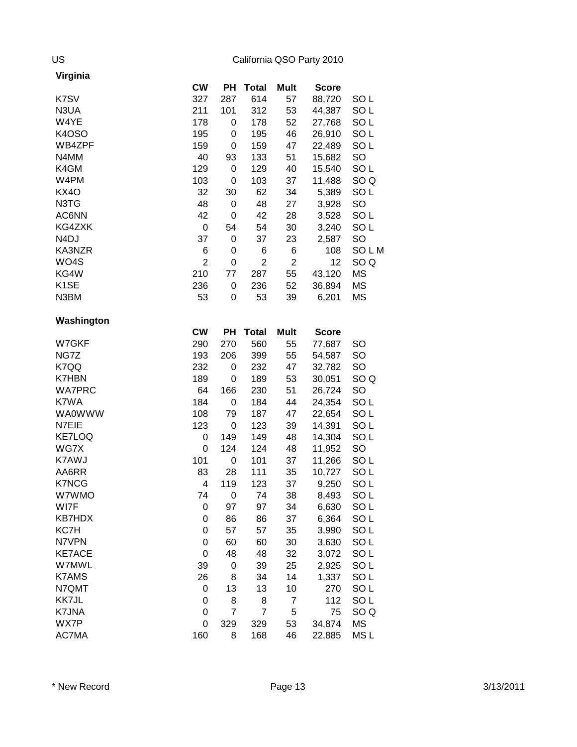| Virginia          |                |                |                |                |              |                 |
|-------------------|----------------|----------------|----------------|----------------|--------------|-----------------|
|                   | <b>CW</b>      | PН             | <b>Total</b>   | Mult           | <b>Score</b> |                 |
| K7SV              | 327            | 287            | 614            | 57             | 88,720       | SO <sub>L</sub> |
| N3UA              | 211            | 101            | 312            | 53             | 44,387       | SO <sub>L</sub> |
| W4YE              | 178            | 0              | 178            | 52             | 27,768       | SO <sub>L</sub> |
| <b>K4OSO</b>      | 195            | 0              | 195            | 46             | 26,910       | SO <sub>L</sub> |
| WB4ZPF            | 159            | 0              | 159            | 47             | 22,489       | SO <sub>L</sub> |
| N4MM              | 40             | 93             | 133            | 51             | 15,682       | SO              |
| K4GM              | 129            | 0              | 129            | 40             | 15,540       | SO <sub>L</sub> |
| W4PM              | 103            | 0              | 103            | 37             | 11,488       | SO <sub>Q</sub> |
| <b>KX40</b>       | 32             | 30             | 62             | 34             | 5,389        | SO <sub>L</sub> |
| N3TG              | 48             | 0              | 48             | 27             | 3,928        | SO              |
| AC6NN             | 42             | 0              | 42             | 28             | 3,528        | SO <sub>L</sub> |
| KG4ZXK            | 0              | 54             | 54             | 30             | 3,240        | SO <sub>L</sub> |
| N <sub>4</sub> DJ | 37             | 0              | 37             | 23             | 2,587        | SO              |
| KA3NZR            | 6              | 0              | 6              | 6              | 108          | SOLM            |
| WO4S              | $\overline{2}$ | 0              | $\overline{2}$ | $\overline{2}$ | 12           | SO <sub>Q</sub> |
| KG4W              | 210            | 77             | 287            | 55             | 43,120       | MS              |
| K <sub>1</sub> SE | 236            | 0              | 236            | 52             | 36,894       | <b>MS</b>       |
| N3BM              | 53             | 0              | 53             | 39             | 6,201        | ΜS              |
|                   |                |                |                |                |              |                 |
| Washington        |                |                |                |                |              |                 |
|                   | <b>CW</b>      | PН             | <b>Total</b>   | <b>Mult</b>    | <b>Score</b> |                 |
| W7GKF             | 290            | 270            | 560            | 55             | 77,687       | <b>SO</b>       |
| NG7Z              | 193            | 206            | 399            | 55             | 54,587       | <b>SO</b>       |
| K7QQ              | 232            | 0              | 232            | 47             | 32,782       | SO              |
| <b>K7HBN</b>      | 189            | 0              | 189            | 53             | 30,051       | SO <sub>Q</sub> |
| <b>WA7PRC</b>     | 64             | 166            | 230            | 51             | 26,724       | SO              |
| K7WA              | 184            | 0              | 184            | 44             | 24,354       | SO <sub>L</sub> |
| <b>WA0WWW</b>     | 108            | 79             | 187            | 47             | 22,654       | SO <sub>L</sub> |
| N7EIE             | 123            | 0              | 123            | 39             | 14,391       | SO <sub>L</sub> |
| <b>KE7LOQ</b>     | 0              | 149            | 149            | 48             | 14,304       | SO <sub>L</sub> |
| WG7X              | 0              | 124            | 124            | 48             | 11,952       | SO              |
| K7AWJ             | 101            | 0              | 101            | 37             | 11,266       | SO <sub>L</sub> |
| AA6RR             | 83             | 28             | 111            | 35             | 10,727       | SO <sub>L</sub> |
| <b>K7NCG</b>      | 4              | 119            | 123            | 37             | 9,250        | SO <sub>L</sub> |
| W7WMO             | 74             | 0              | 74             | 38             | 8,493        | SO <sub>L</sub> |
| WI7F              | 0              | 97             | 97             | 34             | 6,630        | SO <sub>L</sub> |
| <b>KB7HDX</b>     | 0              | 86             | 86             | 37             | 6,364        | SO <sub>L</sub> |
| KC7H              | 0              | 57             | 57             | 35             | 3,990        | SO <sub>L</sub> |
| N7VPN             | 0              | 60             | 60             | 30             | 3,630        | SO <sub>L</sub> |
| <b>KE7ACE</b>     | 0              | 48             | 48             | 32             | 3,072        | SO <sub>L</sub> |
| <b>W7MWL</b>      | 39             | $\pmb{0}$      | 39             | 25             | 2,925        | SO <sub>L</sub> |
| <b>K7AMS</b>      | 26             | 8              | 34             | 14             | 1,337        | SO <sub>L</sub> |
| N7QMT             | 0              | 13             | 13             | 10             | 270          | SO <sub>L</sub> |
| KK7JL             | 0              | 8              | 8              | $\overline{7}$ | 112          | SO <sub>L</sub> |
| K7JNA             | 0              | $\overline{7}$ | 7              | 5              | 75           | SO <sub>Q</sub> |
| WX7P              | 0              | 329            | 329            | 53             | 34,874       | MS              |
| AC7MA             | 160            | 8              | 168            | 46             | 22,885       | MS L            |